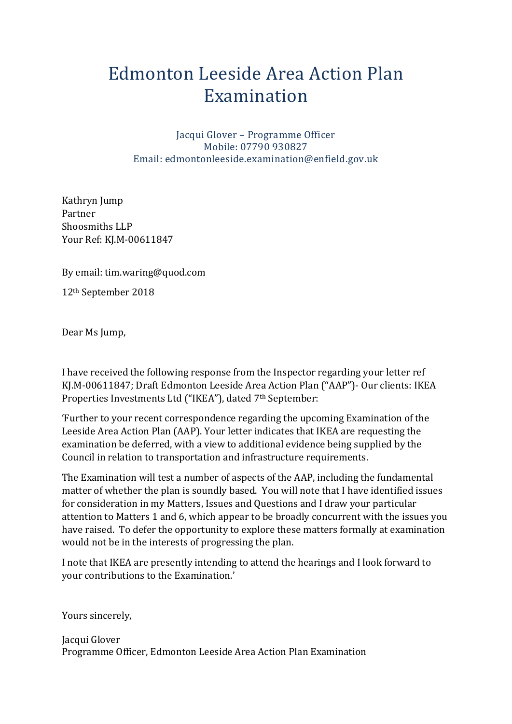## Edmonton Leeside Area Action Plan Examination

Jacqui Glover – Programme Officer Mobile: 07790 930827 Email: edmontonleeside.examination@enfield.gov.uk

Kathryn Jump Partner Shoosmiths LLP Your Ref: KJ.M-00611847

By email: tim.waring@quod.com

12th September 2018

Dear Ms Jump,

I have received the following response from the Inspector regarding your letter ref KJ.M-00611847; Draft Edmonton Leeside Area Action Plan ("AAP")- Our clients: IKEA Properties Investments Ltd ("IKEA"), dated 7th September:

'Further to your recent correspondence regarding the upcoming Examination of the Leeside Area Action Plan (AAP). Your letter indicates that IKEA are requesting the examination be deferred, with a view to additional evidence being supplied by the Council in relation to transportation and infrastructure requirements.

The Examination will test a number of aspects of the AAP, including the fundamental matter of whether the plan is soundly based. You will note that I have identified issues for consideration in my Matters, Issues and Questions and I draw your particular attention to Matters 1 and 6, which appear to be broadly concurrent with the issues you have raised. To defer the opportunity to explore these matters formally at examination would not be in the interests of progressing the plan.

I note that IKEA are presently intending to attend the hearings and I look forward to your contributions to the Examination.'

Yours sincerely,

Jacqui Glover Programme Officer, Edmonton Leeside Area Action Plan Examination